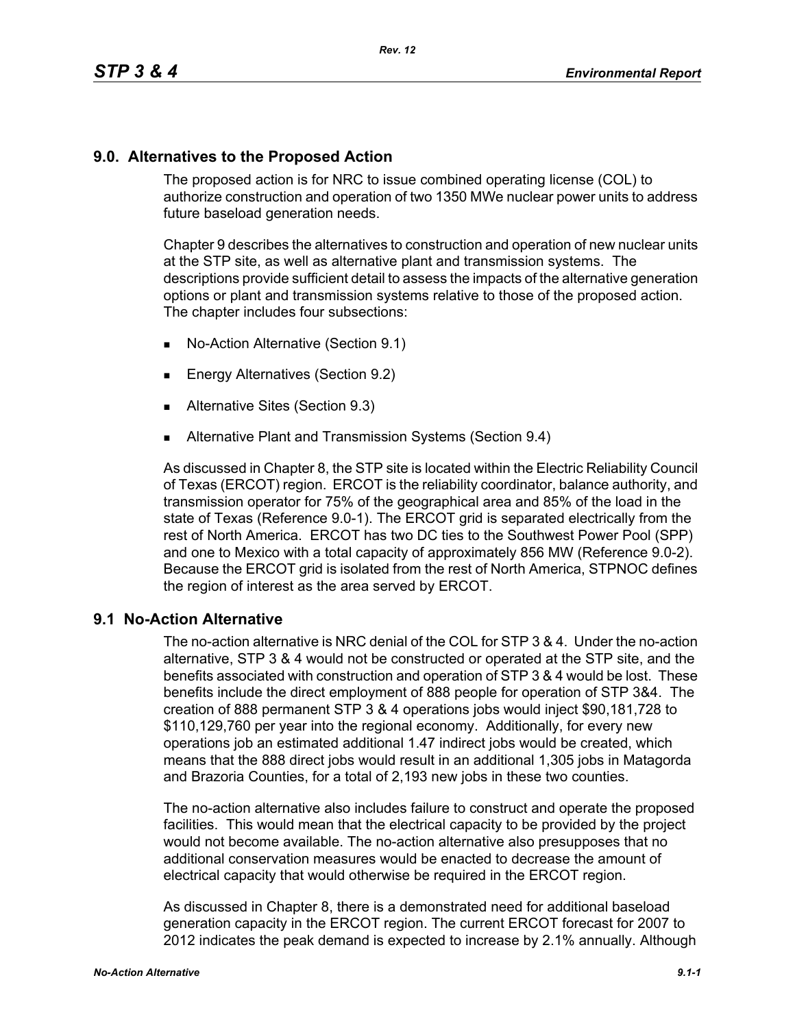## **9.0. Alternatives to the Proposed Action**

The proposed action is for NRC to issue combined operating license (COL) to authorize construction and operation of two 1350 MWe nuclear power units to address future baseload generation needs.

Chapter 9 describes the alternatives to construction and operation of new nuclear units at the STP site, as well as alternative plant and transmission systems. The descriptions provide sufficient detail to assess the impacts of the alternative generation options or plant and transmission systems relative to those of the proposed action. The chapter includes four subsections:

- No-Action Alternative (Section 9.1)
- **Energy Alternatives (Section 9.2)**
- **Alternative Sites (Section 9.3)**
- **Alternative Plant and Transmission Systems (Section 9.4)**

As discussed in Chapter 8, the STP site is located within the Electric Reliability Council of Texas (ERCOT) region. ERCOT is the reliability coordinator, balance authority, and transmission operator for 75% of the geographical area and 85% of the load in the state of Texas (Reference 9.0-1). The ERCOT grid is separated electrically from the rest of North America. ERCOT has two DC ties to the Southwest Power Pool (SPP) and one to Mexico with a total capacity of approximately 856 MW (Reference 9.0-2). Because the ERCOT grid is isolated from the rest of North America, STPNOC defines the region of interest as the area served by ERCOT.

## **9.1 No-Action Alternative**

The no-action alternative is NRC denial of the COL for STP 3 & 4. Under the no-action alternative, STP 3 & 4 would not be constructed or operated at the STP site, and the benefits associated with construction and operation of STP 3 & 4 would be lost. These benefits include the direct employment of 888 people for operation of STP 3&4. The creation of 888 permanent STP 3 & 4 operations jobs would inject \$90,181,728 to \$110,129,760 per year into the regional economy. Additionally, for every new operations job an estimated additional 1.47 indirect jobs would be created, which means that the 888 direct jobs would result in an additional 1,305 jobs in Matagorda and Brazoria Counties, for a total of 2,193 new jobs in these two counties.

The no-action alternative also includes failure to construct and operate the proposed facilities. This would mean that the electrical capacity to be provided by the project would not become available. The no-action alternative also presupposes that no additional conservation measures would be enacted to decrease the amount of electrical capacity that would otherwise be required in the ERCOT region.

As discussed in Chapter 8, there is a demonstrated need for additional baseload generation capacity in the ERCOT region. The current ERCOT forecast for 2007 to 2012 indicates the peak demand is expected to increase by 2.1% annually. Although